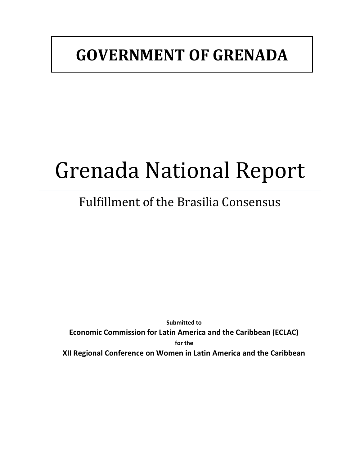## **GOVERNMENT OF GRENADA**

# Grenada National Report

## Fulfillment of the Brasilia Consensus

**Submitted to Economic Commission for Latin America and the Caribbean (ECLAC) for the XII Regional Conference on Women in Latin America and the Caribbean**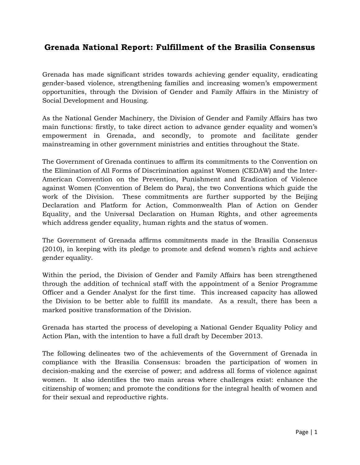### **Grenada National Report: Fulfillment of the Brasilia Consensus**

Grenada has made significant strides towards achieving gender equality, eradicating gender-based violence, strengthening families and increasing women's empowerment opportunities, through the Division of Gender and Family Affairs in the Ministry of Social Development and Housing.

As the National Gender Machinery, the Division of Gender and Family Affairs has two main functions: firstly, to take direct action to advance gender equality and women's empowerment in Grenada, and secondly, to promote and facilitate gender mainstreaming in other government ministries and entities throughout the State.

The Government of Grenada continues to affirm its commitments to the Convention on the Elimination of All Forms of Discrimination against Women (CEDAW) and the Inter-American Convention on the Prevention, Punishment and Eradication of Violence against Women (Convention of Belem do Para), the two Conventions which guide the work of the Division. These commitments are further supported by the Beijing Declaration and Platform for Action, Commonwealth Plan of Action on Gender Equality, and the Universal Declaration on Human Rights, and other agreements which address gender equality, human rights and the status of women.

The Government of Grenada affirms commitments made in the Brasilia Consensus (2010), in keeping with its pledge to promote and defend women's rights and achieve gender equality.

Within the period, the Division of Gender and Family Affairs has been strengthened through the addition of technical staff with the appointment of a Senior Programme Officer and a Gender Analyst for the first time. This increased capacity has allowed the Division to be better able to fulfill its mandate. As a result, there has been a marked positive transformation of the Division.

Grenada has started the process of developing a National Gender Equality Policy and Action Plan, with the intention to have a full draft by December 2013.

The following delineates two of the achievements of the Government of Grenada in compliance with the Brasilia Consensus: broaden the participation of women in decision-making and the exercise of power; and address all forms of violence against women. It also identifies the two main areas where challenges exist: enhance the citizenship of women; and promote the conditions for the integral health of women and for their sexual and reproductive rights.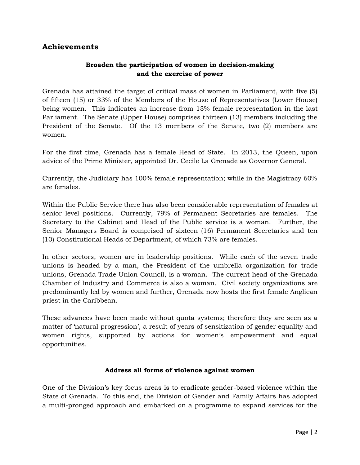#### **Achievements**

#### **Broaden the participation of women in decision-making and the exercise of power**

Grenada has attained the target of critical mass of women in Parliament, with five (5) of fifteen (15) or 33% of the Members of the House of Representatives (Lower House) being women. This indicates an increase from 13% female representation in the last Parliament. The Senate (Upper House) comprises thirteen (13) members including the President of the Senate. Of the 13 members of the Senate, two (2) members are women.

For the first time, Grenada has a female Head of State. In 2013, the Queen, upon advice of the Prime Minister, appointed Dr. Cecile La Grenade as Governor General.

Currently, the Judiciary has 100% female representation; while in the Magistracy 60% are females.

Within the Public Service there has also been considerable representation of females at senior level positions. Currently, 79% of Permanent Secretaries are females. The Secretary to the Cabinet and Head of the Public service is a woman. Further, the Senior Managers Board is comprised of sixteen (16) Permanent Secretaries and ten (10) Constitutional Heads of Department, of which 73% are females.

In other sectors, women are in leadership positions. While each of the seven trade unions is headed by a man, the President of the umbrella organization for trade unions, Grenada Trade Union Council, is a woman. The current head of the Grenada Chamber of Industry and Commerce is also a woman. Civil society organizations are predominantly led by women and further, Grenada now hosts the first female Anglican priest in the Caribbean.

These advances have been made without quota systems; therefore they are seen as a matter of 'natural progression', a result of years of sensitization of gender equality and women rights, supported by actions for women's empowerment and equal opportunities.

#### **Address all forms of violence against women**

One of the Division's key focus areas is to eradicate gender-based violence within the State of Grenada. To this end, the Division of Gender and Family Affairs has adopted a multi-pronged approach and embarked on a programme to expand services for the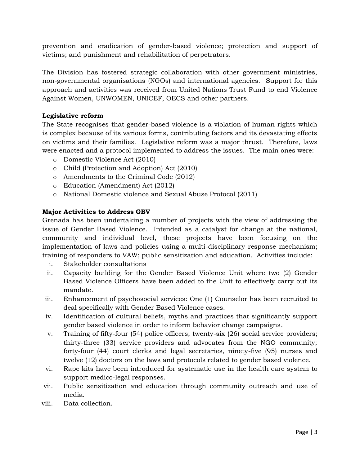prevention and eradication of gender-based violence; protection and support of victims; and punishment and rehabilitation of perpetrators.

The Division has fostered strategic collaboration with other government ministries, non-governmental organisations (NGOs) and international agencies. Support for this approach and activities was received from United Nations Trust Fund to end Violence Against Women, UNWOMEN, UNICEF, OECS and other partners.

#### **Legislative reform**

The State recognises that gender-based violence is a violation of human rights which is complex because of its various forms, contributing factors and its devastating effects on victims and their families. Legislative reform was a major thrust. Therefore, laws were enacted and a protocol implemented to address the issues. The main ones were:

- o Domestic Violence Act (2010)
- o Child (Protection and Adoption) Act (2010)
- o Amendments to the Criminal Code (2012)
- o Education (Amendment) Act (2012)
- o National Domestic violence and Sexual Abuse Protocol (2011)

#### **Major Activities to Address GBV**

Grenada has been undertaking a number of projects with the view of addressing the issue of Gender Based Violence. Intended as a catalyst for change at the national, community and individual level, these projects have been focusing on the implementation of laws and policies using a multi-disciplinary response mechanism; training of responders to VAW; public sensitization and education. Activities include:

- i. Stakeholder consultations
- ii. Capacity building for the Gender Based Violence Unit where two (2) Gender Based Violence Officers have been added to the Unit to effectively carry out its mandate.
- iii. Enhancement of psychosocial services: One (1) Counselor has been recruited to deal specifically with Gender Based Violence cases.
- iv. Identification of cultural beliefs, myths and practices that significantly support gender based violence in order to inform behavior change campaigns.
- v. Training of fifty-four (54) police officers; twenty-six (26) social service providers; thirty-three (33) service providers and advocates from the NGO community; forty-four (44) court clerks and legal secretaries, ninety-five (95) nurses and twelve (12) doctors on the laws and protocols related to gender based violence.
- vi. Rape kits have been introduced for systematic use in the health care system to support medico-legal responses.
- vii. Public sensitization and education through community outreach and use of media.
- viii. Data collection.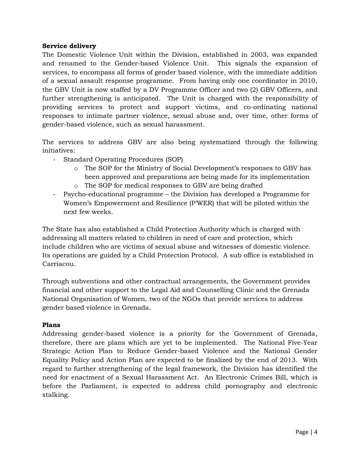#### **Service delivery**

The Domestic Violence Unit within the Division, established in 2003, was expanded and renamed to the Gender-based Violence Unit. This signals the expansion of services, to encompass all forms of gender based violence, with the immediate addition of a sexual assault response programme. From having only one coordinator in 2010, the GBV Unit is now staffed by a DV Programme Officer and two (2) GBV Officers, and further strengthening is anticipated. The Unit is charged with the responsibility of providing services to protect and support victims, and co-ordinating national responses to intimate partner violence, sexual abuse and, over time, other forms of gender-based violence, such as sexual harassment.

The services to address GBV are also being systematized through the following initiatives:

- Standard Operating Procedures (SOP)
	- o The SOP for the Ministry of Social Development's responses to GBV has been approved and preparations are being made for its implementation o The SOP for medical responses to GBV are being drafted
- Psycho-educational programme the Division has developed a Programme for Women's Empowerment and Resilience (P'WER) that will be piloted within the next few weeks.

The State has also established a Child Protection Authority which is charged with addressing all matters related to children in need of care and protection, which include children who are victims of sexual abuse and witnesses of domestic violence. Its operations are guided by a Child Protection Protocol. A sub office is established in Carriacou.

Through subventions and other contractual arrangements, the Government provides financial and other support to the Legal Aid and Counselling Clinic and the Grenada National Organisation of Women, two of the NGOs that provide services to address gender based violence in Grenada.

#### **Plans**

Addressing gender-based violence is a priority for the Government of Grenada, therefore, there are plans which are yet to be implemented. The National Five-Year Strategic Action Plan to Reduce Gender-based Violence and the National Gender Equality Policy and Action Plan are expected to be finalized by the end of 2013. With regard to further strengthening of the legal framework, the Division has identified the need for enactment of a Sexual Harassment Act. An Electronic Crimes Bill, which is before the Parliament, is expected to address child pornography and electronic stalking.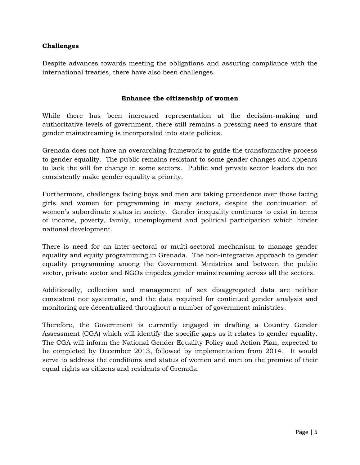#### **Challenges**

Despite advances towards meeting the obligations and assuring compliance with the international treaties, there have also been challenges.

#### **Enhance the citizenship of women**

While there has been increased representation at the decision-making and authoritative levels of government, there still remains a pressing need to ensure that gender mainstreaming is incorporated into state policies.

Grenada does not have an overarching framework to guide the transformative process to gender equality. The public remains resistant to some gender changes and appears to lack the will for change in some sectors. Public and private sector leaders do not consistently make gender equality a priority.

Furthermore, challenges facing boys and men are taking precedence over those facing girls and women for programming in many sectors, despite the continuation of women's subordinate status in society. Gender inequality continues to exist in terms of income, poverty, family, unemployment and political participation which hinder national development.

There is need for an inter-sectoral or multi-sectoral mechanism to manage gender equality and equity programming in Grenada. The non-integrative approach to gender equality programming among the Government Ministries and between the public sector, private sector and NGOs impedes gender mainstreaming across all the sectors.

Additionally, collection and management of sex disaggregated data are neither consistent nor systematic, and the data required for continued gender analysis and monitoring are decentralized throughout a number of government ministries.

Therefore, the Government is currently engaged in drafting a Country Gender Assessment (CGA) which will identify the specific gaps as it relates to gender equality. The CGA will inform the National Gender Equality Policy and Action Plan, expected to be completed by December 2013, followed by implementation from 2014. It would serve to address the conditions and status of women and men on the premise of their equal rights as citizens and residents of Grenada.